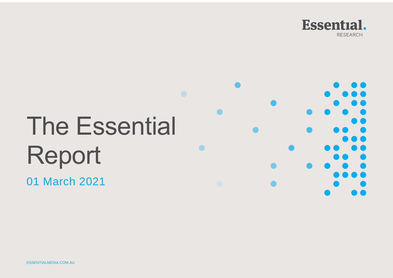

# The Essential Report

01 March 2021

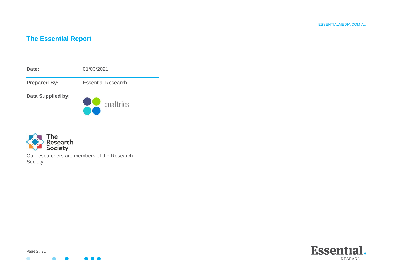# **The Essential Report**





Our researchers are members of the Research Society.



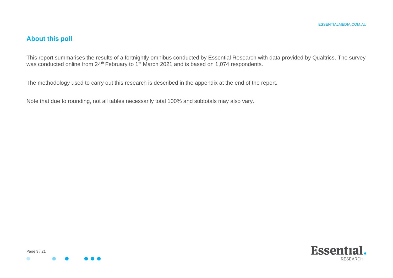# **About this poll**

This report summarises the results of a fortnightly omnibus conducted by Essential Research with data provided by Qualtrics. The survey was conducted online from 24<sup>th</sup> February to 1<sup>st</sup> March 2021 and is based on 1,074 respondents.

The methodology used to carry out this research is described in the appendix at the end of the report.

Note that due to rounding, not all tables necessarily total 100% and subtotals may also vary.



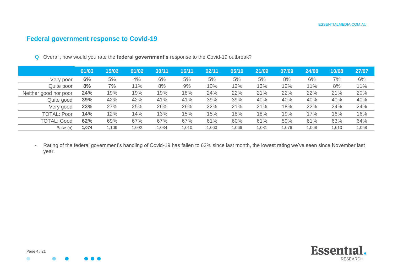# **Federal government response to Covid-19**

|                       | 01/03 | 15/02 | 01/02 | 30/11 | 16/11 | 02/11 | 05/10 | 21/09 | 07/09 | 24/08 | 10/08 | 27/07 |
|-----------------------|-------|-------|-------|-------|-------|-------|-------|-------|-------|-------|-------|-------|
| Very poor             | 6%    | 5%    | 4%    | 6%    | 5%    | 5%    | 5%    | 5%    | 8%    | 6%    | 7%    | 6%    |
| Quite poor            | 8%    | 7%    | 11%   | 8%    | 9%    | 10%   | 12%   | 13%   | 12%   | 11%   | 8%    | 11%   |
| Neither good nor poor | 24%   | 19%   | 19%   | 19%   | 18%   | 24%   | 22%   | 21%   | 22%   | 22%   | 21%   | 20%   |
| Quite good            | 39%   | 42%   | 42%   | 41%   | 41%   | 39%   | 39%   | 40%   | 40%   | 40%   | 40%   | 40%   |
| Very good             | 23%   | 27%   | 25%   | 26%   | 26%   | 22%   | 21%   | 21%   | 18%   | 22%   | 24%   | 24%   |
| <b>TOTAL: Poor</b>    | 14%   | 12%   | 14%   | 13%   | 15%   | 15%   | 18%   | 18%   | 19%   | 17%   | 16%   | 16%   |
| <b>TOTAL: Good</b>    | 62%   | 69%   | 67%   | 67%   | 67%   | 61%   | 60%   | 61%   | 59%   | 61%   | 63%   | 64%   |
| Base (n)              | .074  | 1.109 | 1.092 | 1.034 | 1.010 | 1.063 | 1.066 | 1.081 | 1.076 | 1.068 | 1.010 | 1.058 |

Q Overall, how would you rate the **federal government's** response to the Covid-19 outbreak?

- Rating of the federal government's handling of Covid-19 has fallen to 62% since last month, the lowest rating we've seen since November last year.

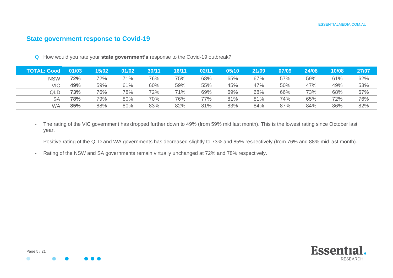## **State government response to Covid-19**

Q How would you rate your **state government's** response to the Covid-19 outbreak?

| [OTAL: Good」 | 01/03 | 15/02 | 01/02 | 30/11 | 16/11 | 02/11 | 05/10 | 21/09 | 07/09 | 24/08 | 10/08 | 27/07 |
|--------------|-------|-------|-------|-------|-------|-------|-------|-------|-------|-------|-------|-------|
| <b>NSW</b>   | 72%   | 72%   | 71%   | 76%   | 75%   | 68%   | 65%   | 67%   | 57%   | 59%   | 61%   | 62%   |
| <b>VIC</b>   | 49%   | 59%   | 61%   | 60%   | 59%   | 55%   | 45%   | 47%   | 50%   | 47%   | 49%   | 53%   |
| QLD          | 73%   | 76%   | 78%   | 72%   | 71%   | 69%   | 69%   | 68%   | 66%   | 73%   | 68%   | 67%   |
| <b>SA</b>    | 78%   | 79%   | 80%   | 70%   | 76%   | 77%   | 81%   | 81%   | 74%   | 65%   | 72%   | 76%   |
| WA           | 85%   | 88%   | 80%   | 83%   | 82%   | 81%   | 83%   | 84%   | 87%   | 84%   | 86%   | 82%   |

- The rating of the VIC government has dropped further down to 49% (from 59% mid last month). This is the lowest rating since October last year.
- Positive rating of the QLD and WA governments has decreased slightly to 73% and 85% respectively (from 76% and 88% mid last month).
- Rating of the NSW and SA governments remain virtually unchanged at 72% and 78% respectively.



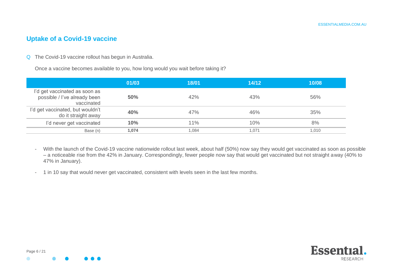### **Uptake of a Covid-19 vaccine**

Q The Covid-19 vaccine rollout has begun in Australia.

Once a vaccine becomes available to you, how long would you wait before taking it?

|                                                                             | 01/03 | 18/01 | 14/12 | 10/08 |
|-----------------------------------------------------------------------------|-------|-------|-------|-------|
| I'd get vaccinated as soon as<br>possible / I've already been<br>vaccinated | 50%   | 42%   | 43%   | 56%   |
| I'd get vaccinated, but wouldn't<br>do it straight away                     | 40%   | 47%   | 46%   | 35%   |
| I'd never get vaccinated                                                    | 10%   | 11%   | 10%   | 8%    |
| Base (n)                                                                    | 1.074 | 1.084 | 1.071 | 1.010 |

- With the launch of the Covid-19 vaccine nationwide rollout last week, about half (50%) now say they would get vaccinated as soon as possible – a noticeable rise from the 42% in January. Correspondingly, fewer people now say that would get vaccinated but not straight away (40% to 47% in January).

- 1 in 10 say that would never get vaccinated, consistent with levels seen in the last few months.

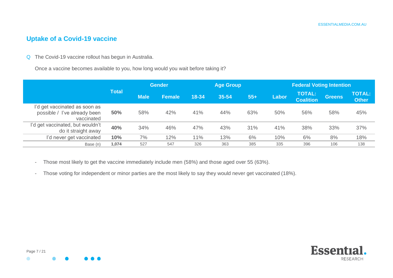# **Uptake of a Covid-19 vaccine**

Q The Covid-19 vaccine rollout has begun in Australia.

Once a vaccine becomes available to you, how long would you wait before taking it?

|                                                                             |              | <b>Gender</b><br><b>Age Group</b> |               |       |       |       | <b>Federal Voting Intention</b> |                                   |               |                               |
|-----------------------------------------------------------------------------|--------------|-----------------------------------|---------------|-------|-------|-------|---------------------------------|-----------------------------------|---------------|-------------------------------|
|                                                                             | <b>Total</b> | <b>Male</b>                       | <b>Female</b> | 18-34 | 35-54 | $55+$ | Labor                           | <b>TOTAL:</b><br><b>Coalition</b> | <b>Greens</b> | <b>TOTAL:</b><br><b>Other</b> |
| I'd get vaccinated as soon as<br>possible / I've already been<br>vaccinated | 50%          | 58%                               | 42%           | 41%   | 44%   | 63%   | 50%                             | 56%                               | 58%           | 45%                           |
| I'd get vaccinated, but wouldn't<br>do it straight away                     | 40%          | 34%                               | 46%           | 47%   | 43%   | 31%   | 41%                             | 38%                               | 33%           | 37%                           |
| I'd never get vaccinated                                                    | 10%          | 7%                                | 12%           | 11%   | 13%   | 6%    | 10%                             | 6%                                | 8%            | 18%                           |
| Base (n)                                                                    | 1.074        | 527                               | 547           | 326   | 363   | 385   | 335                             | 396                               | 106           | 138                           |

- Those most likely to get the vaccine immediately include men (58%) and those aged over 55 (63%).
- Those voting for independent or minor parties are the most likely to say they would never get vaccinated (18%).

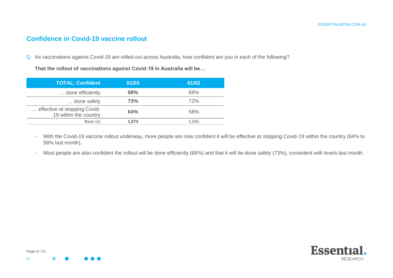#### **Confidence in Covid-19 vaccine rollout**

Q As vaccinations against Covid-19 are rolled out across Australia, how confident are you in each of the following?

**That the rollout of vaccinations against Covid-19 in Australia will be…**

| <b>TOTAL: Confident</b>                               | 01/03      | 01/02 |
|-------------------------------------------------------|------------|-------|
| done efficiently                                      | <b>68%</b> | 68%   |
| done safely                                           | 73%        | 72%   |
| effective at stopping Covid-<br>19 within the country | 64%        | 58%   |
| Base (n)                                              | 1.074      | 1.092 |

- With the Covid-19 vaccine rollout underway, more people are now confident it will be effective at stopping Covid-19 within the country (64% to 58% last month).
- Most people are also confident the rollout will be done efficiently (68%) and that it will be done safely (73%), consistent with levels last month.



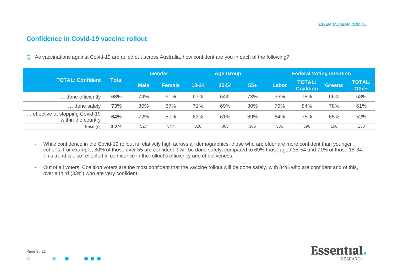#### **Confidence in Covid-19 vaccine rollout**

Q As vaccinations against Covid-19 are rolled out across Australia, how confident are you in each of the following?

|                                                      |              |             | <b>Gender</b> |       | <b>Age Group</b> |       | <b>Federal Voting Intention</b> |                                   |               |                               |
|------------------------------------------------------|--------------|-------------|---------------|-------|------------------|-------|---------------------------------|-----------------------------------|---------------|-------------------------------|
| <b>TOTAL: Confident</b>                              | <b>Total</b> | <b>Male</b> | <b>Female</b> | 18-34 | 35-54            | $55+$ | Labor                           | <b>TOTAL:</b><br><b>Coalition</b> | <b>Greens</b> | <b>TOTAL:</b><br><b>Other</b> |
| done efficiently                                     | 68%          | 74%         | 61%           | 67%   | 64%              | 73%   | 66%                             | 78%                               | 66%           | 58%                           |
| done safely                                          | 73%          | 80%         | 67%           | 71%   | 69%              | 80%   | 70%                             | 84%                               | 78%           | 61%                           |
| effective at stopping Covid-19<br>within the country | 64%          | 72%         | 57%           | 63%   | 61%              | 69%   | 64%                             | 75%                               | 65%           | 52%                           |
| Base (n)                                             | 1.074        | 527         | 547           | 326   | 363              | 385   | 335                             | 396                               | 106           | 138                           |

- While confidence in the Covid-19 rollout is relatively high across all demographics, those who are older are more confident than younger cohorts. For example, 80% of those over 55 are confident it will be done safely, compared to 69% those aged 35-54 and 71% of those 18-34. This trend is also reflected in confidence in the rollout's efficiency and effectiveness.
- Out of all voters, Coalition voters are the most confident that the vaccine rollout will be done safely, with 84% who are confident and of this, over a third (33%) who are very confident.

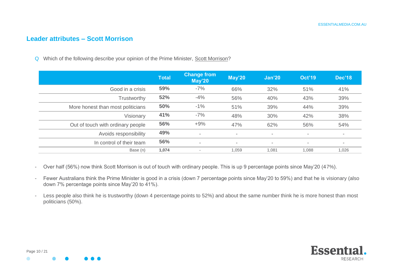#### **Leader attributes – Scott Morrison**

Q Which of the following describe your opinion of the Prime Minister, Scott Morrison?

|                                   | <b>Total</b> | <b>Change from</b><br>May'20 | <b>May'20</b>            | Jan'20                   | <b>Oct'19</b>            | <b>Dec'18</b>            |
|-----------------------------------|--------------|------------------------------|--------------------------|--------------------------|--------------------------|--------------------------|
| Good in a crisis                  | 59%          | $-7%$                        | 66%                      | 32%                      | 51%                      | 41%                      |
| Trustworthy                       | 52%          | $-4%$                        | 56%                      | 40%                      | 43%                      | 39%                      |
| More honest than most politicians | 50%          | $-1%$                        | 51%                      | 39%                      | 44%                      | 39%                      |
| Visionary                         | 41%          | $-7%$                        | 48%                      | 30%                      | 42%                      | 38%                      |
| Out of touch with ordinary people | 56%          | $+9%$                        | 47%                      | 62%                      | 56%                      | 54%                      |
| Avoids responsibility             | 49%          | $\overline{\phantom{a}}$     | $\overline{\phantom{0}}$ | $\overline{\phantom{a}}$ | $\overline{\phantom{a}}$ | $\,$                     |
| In control of their team          | 56%          | $\overline{\phantom{a}}$     | $\overline{\phantom{0}}$ | $\overline{\phantom{a}}$ | $\overline{\phantom{a}}$ | $\overline{\phantom{a}}$ |
| Base (n)                          | 1,074        |                              | 1.059                    | 1,081                    | 1,088                    | 1,026                    |

- Over half (56%) now think Scott Morrison is out of touch with ordinary people. This is up 9 percentage points since May'20 (47%).
- Fewer Australians think the Prime Minister is good in a crisis (down 7 percentage points since May'20 to 59%) and that he is visionary (also down 7% percentage points since May'20 to 41%).
- Less people also think he is trustworthy (down 4 percentage points to 52%) and about the same number think he is more honest than most politicians (50%).

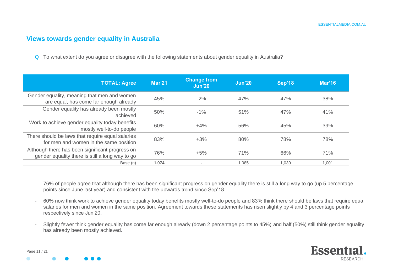#### **Views towards gender equality in Australia**

Q To what extent do you agree or disagree with the following statements about gender equality in Australia?

| <b>TOTAL: Agree</b>                                                                                | Mar <sub>21</sub> | <b>Change from</b><br><b>Jun'20</b> | Jun'20 | <b>Sep'18</b> | Mar'16 |
|----------------------------------------------------------------------------------------------------|-------------------|-------------------------------------|--------|---------------|--------|
| Gender equality, meaning that men and women<br>are equal, has come far enough already              | 45%               | $-2%$                               | 47%    | 47%           | 38%    |
| Gender equality has already been mostly<br>achieved                                                | 50%               | $-1\%$                              | 51%    | 47%           | 41%    |
| Work to achieve gender equality today benefits<br>mostly well-to-do people                         | 60%               | $+4%$                               | 56%    | 45%           | 39%    |
| There should be laws that require equal salaries<br>for men and women in the same position         | 83%               | $+3%$                               | 80%    | 78%           | 78%    |
| Although there has been significant progress on<br>gender equality there is still a long way to go | 76%               | $+5%$                               | 71%    | 66%           | 71%    |
| Base (n)                                                                                           | 1.074             |                                     | 1.085  | 1.030         | 1.001  |

- 76% of people agree that although there has been significant progress on gender equality there is still a long way to go (up 5 percentage points since June last year) and consistent with the upwards trend since Sep'18.
- 60% now think work to achieve gender equality today benefits mostly well-to-do people and 83% think there should be laws that require equal salaries for men and women in the same position. Agreement towards these statements has risen slightly by 4 and 3 percentage points respectively since Jun'20.
- Slightly fewer think gender equality has come far enough already (down 2 percentage points to 45%) and half (50%) still think gender equality has already been mostly achieved.

**Essential RESEARCH** 

Page 11 / 21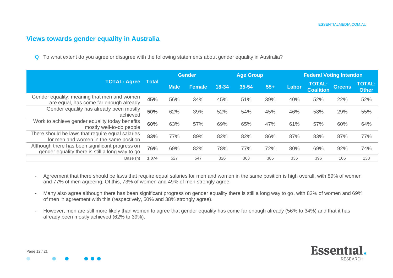#### **Views towards gender equality in Australia**

Q To what extent do you agree or disagree with the following statements about gender equality in Australia?

|                                                                                                    |       |             | <b>Gender</b> |           | <b>Age Group</b> |       |       | <b>Federal Voting Intention</b>   |               |                               |  |
|----------------------------------------------------------------------------------------------------|-------|-------------|---------------|-----------|------------------|-------|-------|-----------------------------------|---------------|-------------------------------|--|
| <b>TOTAL: Agree</b>                                                                                | Total | <b>Male</b> | Female        | $18 - 34$ | 35-54            | $55+$ | Labor | <b>TOTAL:</b><br><b>Coalition</b> | <b>Greens</b> | <b>TOTAL:</b><br><b>Other</b> |  |
| Gender equality, meaning that men and women<br>are equal, has come far enough already              | 45%   | 56%         | 34%           | 45%       | 51%              | 39%   | 40%   | 52%                               | 22%           | 52%                           |  |
| Gender equality has already been mostly<br>achieved                                                | 50%   | 62%         | 39%           | 52%       | 54%              | 45%   | 46%   | 58%                               | 29%           | 55%                           |  |
| Work to achieve gender equality today benefits<br>mostly well-to-do people                         | 60%   | 63%         | 57%           | 69%       | 65%              | 47%   | 61%   | 57%                               | 60%           | 64%                           |  |
| There should be laws that require equal salaries<br>for men and women in the same position         | 83%   | 77%         | 89%           | 82%       | 82%              | 86%   | 87%   | 83%                               | 87%           | 77%                           |  |
| Although there has been significant progress on<br>gender equality there is still a long way to go | 76%   | 69%         | 82%           | 78%       | 77%              | 72%   | 80%   | 69%                               | 92%           | 74%                           |  |
| Base (n)                                                                                           | 1,074 | 527         | 547           | 326       | 363              | 385   | 335   | 396                               | 106           | 138                           |  |

- Agreement that there should be laws that require equal salaries for men and women in the same position is high overall, with 89% of women and 77% of men agreeing. Of this, 73% of women and 49% of men strongly agree.
- Many also agree although there has been significant progress on gender equality there is still a long way to go, with 82% of women and 69% of men in agreement with this (respectively, 50% and 38% strongly agree).
- However, men are still more likely than women to agree that gender equality has come far enough already (56% to 34%) and that it has already been mostly achieved (62% to 39%).

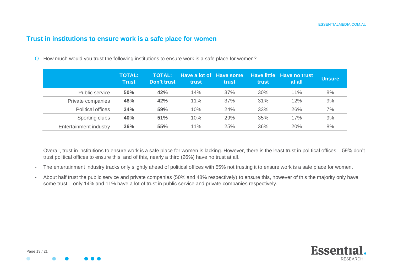#### **Trust in institutions to ensure work is a safe place for women**

Q How much would you trust the following institutions to ensure work is a safe place for women?

|                          | <b>TOTAL:</b><br><b>Trust</b> | <b>TOTAL:</b><br>Don't trust | Have a lot of Have some<br>trust | trust | trust | Have little Have no trust<br>at all | <b>Unsure</b> |
|--------------------------|-------------------------------|------------------------------|----------------------------------|-------|-------|-------------------------------------|---------------|
| Public service           | 50%                           | 42%                          | 14%                              | 37%   | 30%   | 11%                                 | 8%            |
| Private companies        | 48%                           | 42%                          | 11%                              | 37%   | 31%   | 12%                                 | 9%            |
| <b>Political offices</b> | 34%                           | 59%                          | 10%                              | 24%   | 33%   | 26%                                 | 7%            |
| Sporting clubs           | 40%                           | 51%                          | 10%                              | 29%   | 35%   | 17%                                 | 9%            |
| Entertainment industry   | 36%                           | 55%                          | 11%                              | 25%   | 36%   | 20%                                 | 8%            |

- Overall, trust in institutions to ensure work is a safe place for women is lacking. However, there is the least trust in political offices 59% don't trust political offices to ensure this, and of this, nearly a third (26%) have no trust at all.
- The entertainment industry tracks only slightly ahead of political offices with 55% not trusting it to ensure work is a safe place for women.
- About half trust the public service and private companies (50% and 48% respectively) to ensure this, however of this the majority only have some trust – only 14% and 11% have a lot of trust in public service and private companies respectively.

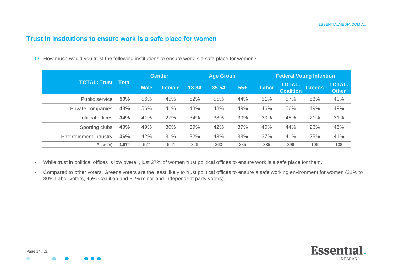# **Trust in institutions to ensure work is a safe place for women**

Q How much would you trust the following institutions to ensure work is a safe place for women?

|                          |         |             | <b>Gender</b> |       | <b>Age Group</b> |       |       | <b>Federal Voting Intention</b>   |                             |                               |
|--------------------------|---------|-------------|---------------|-------|------------------|-------|-------|-----------------------------------|-----------------------------|-------------------------------|
| <b>TOTAL: Trust</b>      | ⊟ Total | <b>Male</b> | <b>Female</b> | 18-34 | 35-54            | $55+$ | Labor | <b>TOTAL:</b><br><b>Coalition</b> | Greens<br>53%<br>49%<br>21% | <b>TOTAL:</b><br><b>Other</b> |
| Public service           | 50%     | 56%         | 45%           | 52%   | 55%              | 44%   | 51%   | 57%                               |                             | 40%                           |
| Private companies        | 48%     | 56%         | 41%           | 48%   | 48%              | 49%   | 46%   | 56%                               |                             | 49%                           |
| <b>Political offices</b> | 34%     | 41%         | 27%           | 34%   | 38%              | 30%   | 30%   | 45%                               |                             | 31%                           |
| Sporting clubs           | 40%     | 49%         | 30%           | 39%   | 42%              | 37%   | 40%   | 44%                               | 26%                         | 45%                           |
| Entertainment industry   | 36%     | 42%         | 31%           | 32%   | 43%              | 33%   | 37%   | 41%                               | 25%                         | 41%                           |
| Base (n)                 | 1,074   | 527         | 547           | 326   | 363              | 385   | 335   | 396                               | 106                         | 138                           |

- While trust in political offices is low overall, just 27% of women trust political offices to ensure work is a safe place for them.
- Compared to other voters, Greens voters are the least likely to trust political offices to ensure a safe working environment for women (21% to 30% Labor voters, 45% Coalition and 31% minor and independent party voters).

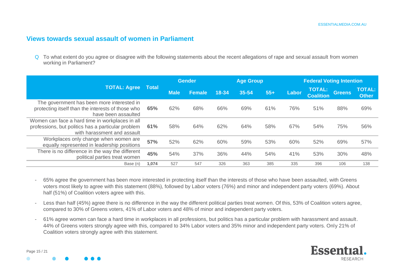#### **Views towards sexual assault of women in Parliament**

Q To what extent do you agree or disagree with the following statements about the recent allegations of rape and sexual assault from women working in Parliament?

|                                                                                                                                      |              | Gender<br><b>Age Group</b> |               |           |       |       |       | <b>Federal Voting Intention</b>   |               |                               |  |
|--------------------------------------------------------------------------------------------------------------------------------------|--------------|----------------------------|---------------|-----------|-------|-------|-------|-----------------------------------|---------------|-------------------------------|--|
| <b>TOTAL: Agree</b>                                                                                                                  | <b>Total</b> | <b>Male</b>                | <b>Female</b> | $18 - 34$ | 35-54 | $55+$ | Labor | <b>TOTAL:</b><br><b>Coalition</b> | <b>Greens</b> | <b>TOTAL:</b><br><b>Other</b> |  |
| The government has been more interested in<br>protecting itself than the interests of those who<br>have been assaulted               | 65%          | 62%                        | 68%           | 66%       | 69%   | 61%   | 76%   | 51%                               | 88%           | 69%                           |  |
| Women can face a hard time in workplaces in all<br>professions, but politics has a particular problem<br>with harassment and assault | 61%          | 58%                        | 64%           | 62%       | 64%   | 58%   | 67%   | 54%                               | 75%           | 56%                           |  |
| Workplaces only change when women are<br>equally represented in leadership positions                                                 | 57%          | 52%                        | 62%           | 60%       | 59%   | 53%   | 60%   | 52%                               | 69%           | 57%                           |  |
| There is no difference in the way the different<br>political parties treat women                                                     | 45%          | 54%                        | 37%           | 36%       | 44%   | 54%   | 41%   | 53%                               | 30%           | 48%                           |  |
| Base (n)                                                                                                                             | 1,074        | 527                        | 547           | 326       | 363   | 385   | 335   | 396                               | 106           | 138                           |  |

- 65% agree the government has been more interested in protecting itself than the interests of those who have been assaulted, with Greens voters most likely to agree with this statement (88%), followed by Labor voters (76%) and minor and independent party voters (69%). About half (51%) of Coalition voters agree with this.
- Less than half (45%) agree there is no difference in the way the different political parties treat women. Of this, 53% of Coalition voters agree, compared to 30% of Greens voters, 41% of Labor voters and 48% of minor and independent party voters.
- 61% agree women can face a hard time in workplaces in all professions, but politics has a particular problem with harassment and assault. 44% of Greens voters strongly agree with this, compared to 34% Labor voters and 35% minor and independent party voters. Only 21% of Coalition voters strongly agree with this statement.



Page 15 / 21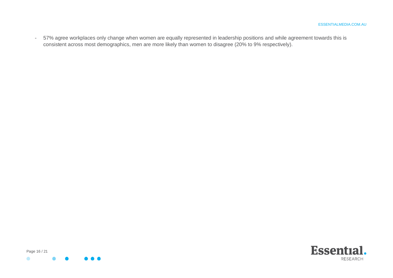- 57% agree workplaces only change when women are equally represented in leadership positions and while agreement towards this is consistent across most demographics, men are more likely than women to disagree (20% to 9% respectively).



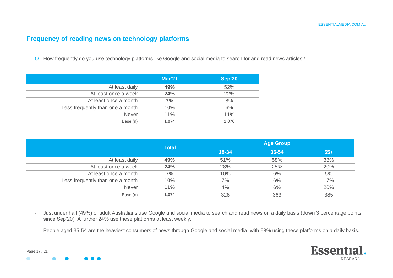#### **Frequency of reading news on technology platforms**

Q How frequently do you use technology platforms like Google and social media to search for and read news articles?

|                                  | Mar'21 | Sep'20 |
|----------------------------------|--------|--------|
| At least daily                   | 49%    | 52%    |
| At least once a week             | 24%    | 22%    |
| At least once a month            | 7%     | 8%     |
| Less frequently than one a month | 10%    | 6%     |
| <b>Never</b>                     | 11%    | 11%    |
| Base (n)                         | 1,074  | 1.076  |

|                                  | <b>Total</b> | <b>Age Group</b> |       |       |  |  |
|----------------------------------|--------------|------------------|-------|-------|--|--|
|                                  |              | 18-34            | 35-54 | $55+$ |  |  |
| At least daily                   | 49%          | 51%              | 58%   | 38%   |  |  |
| At least once a week             | 24%          | 28%              | 25%   | 20%   |  |  |
| At least once a month            | 7%           | 10%              | 6%    | 5%    |  |  |
| Less frequently than one a month | 10%          | 7%               | 6%    | 17%   |  |  |
| <b>Never</b>                     | 11%          | 4%               | 6%    | 20%   |  |  |
| Base (n)                         | 1,074        | 326              | 363   | 385   |  |  |

- Just under half (49%) of adult Australians use Google and social media to search and read news on a daily basis (down 3 percentage points since Sep'20). A further 24% use these platforms at least weekly.
- People aged 35-54 are the heaviest consumers of news through Google and social media, with 58% using these platforms on a daily basis.



Page 17 / 21

 $\bullet$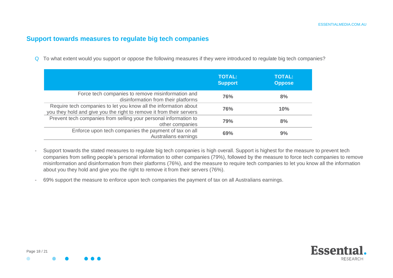## **Support towards measures to regulate big tech companies**

Q To what extent would you support or oppose the following measures if they were introduced to regulate big tech companies?

|                                                                                                                                          | <b>TOTAL:</b><br><b>Support</b> | <b>TOTAL:</b><br><b>Oppose</b> |
|------------------------------------------------------------------------------------------------------------------------------------------|---------------------------------|--------------------------------|
| Force tech companies to remove misinformation and<br>disinformation from their platforms                                                 | <b>76%</b>                      | 8%                             |
| Require tech companies to let you know all the information about<br>you they hold and give you the right to remove it from their servers | <b>76%</b>                      | 10%                            |
| Prevent tech companies from selling your personal information to<br>other companies                                                      | 79%                             | 8%                             |
| Enforce upon tech companies the payment of tax on all<br>Australians earnings                                                            | 69%                             | 9%                             |

- Support towards the stated measures to regulate big tech companies is high overall. Support is highest for the measure to prevent tech companies from selling people's personal information to other companies (79%), followed by the measure to force tech companies to remove misinformation and disinformation from their platforms (76%), and the measure to require tech companies to let you know all the information about you they hold and give you the right to remove it from their servers (76%).
- 69% support the measure to enforce upon tech companies the payment of tax on all Australians earnings.

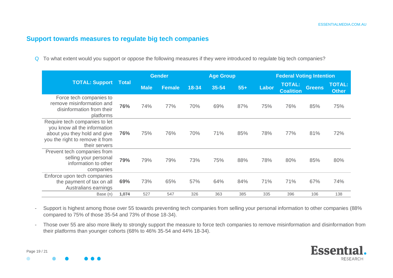#### **Support towards measures to regulate big tech companies**

Q To what extent would you support or oppose the following measures if they were introduced to regulate big tech companies?

|                                                                                                                                                   |              | <b>Gender</b> |               | <b>Age Group</b> |       |       | <b>Federal Voting Intention</b> |                                   |               |                               |
|---------------------------------------------------------------------------------------------------------------------------------------------------|--------------|---------------|---------------|------------------|-------|-------|---------------------------------|-----------------------------------|---------------|-------------------------------|
| <b>TOTAL: Support</b>                                                                                                                             | <b>Total</b> | <b>Male</b>   | <b>Female</b> | 18-34            | 35-54 | $55+$ | Labor                           | <b>TOTAL:</b><br><b>Coalition</b> | <b>Greens</b> | <b>TOTAL:</b><br><b>Other</b> |
| Force tech companies to<br>remove misinformation and<br>disinformation from their<br>platforms                                                    | 76%          | 74%           | 77%           | 70%              | 69%   | 87%   | 75%                             | 76%                               | 85%           | 75%                           |
| Require tech companies to let<br>you know all the information<br>about you they hold and give<br>you the right to remove it from<br>their servers | 76%          | 75%           | 76%           | 70%              | 71%   | 85%   | 78%                             | 77%                               | 81%           | 72%                           |
| Prevent tech companies from<br>selling your personal<br>information to other<br>companies                                                         | 79%          | 79%           | 79%           | 73%              | 75%   | 88%   | 78%                             | 80%                               | 85%           | 80%                           |
| Enforce upon tech companies<br>the payment of tax on all<br>Australians earnings                                                                  | 69%          | 73%           | 65%           | 57%              | 64%   | 84%   | 71%                             | 71%                               | 67%           | 74%                           |
| Base (n)                                                                                                                                          | 1,074        | 527           | 547           | 326              | 363   | 385   | 335                             | 396                               | 106           | 138                           |

- Support is highest among those over 55 towards preventing tech companies from selling your personal information to other companies (88% compared to 75% of those 35-54 and 73% of those 18-34).
- Those over 55 are also more likely to strongly support the measure to force tech companies to remove misinformation and disinformation from their platforms than younger cohorts (68% to 46% 35-54 and 44% 18-34).



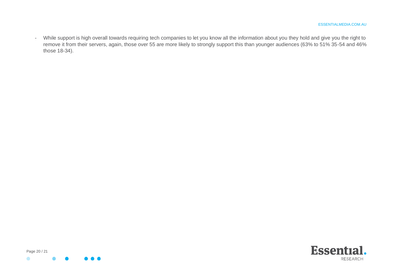- While support is high overall towards requiring tech companies to let you know all the information about you they hold and give you the right to remove it from their servers, again, those over 55 are more likely to strongly support this than younger audiences (63% to 51% 35-54 and 46% those 18-34).